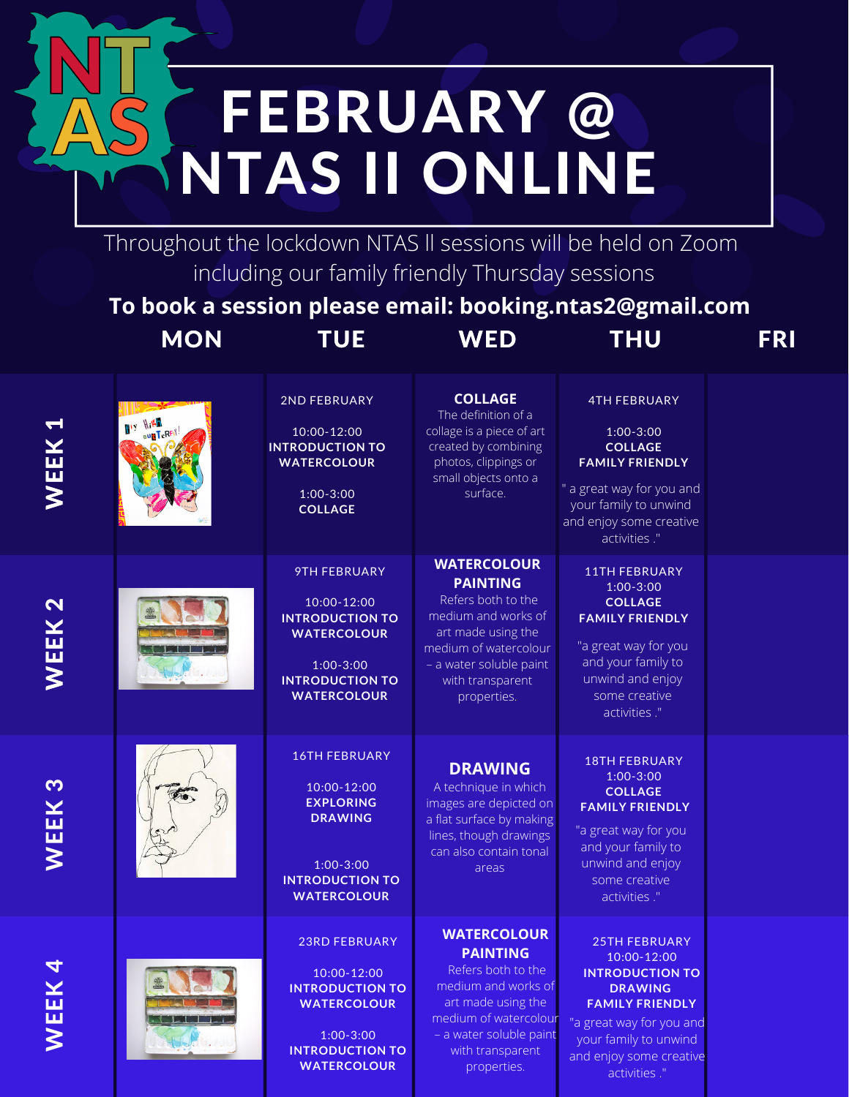## FEBRUARY @ NTAS II ONLINE

Throughout the lockdown NTAS ll sessions will be held on Zoom including our family friendly Thursday sessions

**To book a session please email: booking.ntas2@gmail.com**

|             | <b>MON</b>                    | <b>TUE</b>                                                                                                                                        | <b>WED</b>                                                                                                                                                                                      | <b>THU</b>                                                                                                                                                                                | <b>FRI</b> |
|-------------|-------------------------------|---------------------------------------------------------------------------------------------------------------------------------------------------|-------------------------------------------------------------------------------------------------------------------------------------------------------------------------------------------------|-------------------------------------------------------------------------------------------------------------------------------------------------------------------------------------------|------------|
| ŤE<br>N     | <b>Ally</b> High<br>un TeRFil | <b>2ND FEBRUARY</b><br>10:00-12:00<br><b>INTRODUCTION TO</b><br><b>WATERCOLOUR</b><br>$1:00-3:00$<br><b>COLLAGE</b>                               | <b>COLLAGE</b><br>The definition of a<br>collage is a piece of art<br>created by combining<br>photos, clippings or<br>small objects onto a<br>surface.                                          | <b>4TH FEBRUARY</b><br>$1:00-3:00$<br><b>COLLAGE</b><br><b>FAMILY FRIENDLY</b><br>" a great way for you and<br>your family to unwind<br>and enjoy some creative<br>activities."           |            |
| <b>NEEK</b> |                               | <b>9TH FEBRUARY</b><br>10:00-12:00<br><b>INTRODUCTION TO</b><br><b>WATERCOLOUR</b><br>$1:00-3:00$<br><b>INTRODUCTION TO</b><br><b>WATERCOLOUR</b> | <b>WATERCOLOUR</b><br><b>PAINTING</b><br>Refers both to the<br>medium and works of<br>art made using the<br>medium of watercolour<br>- a water soluble paint<br>with transparent<br>properties. | <b>11TH FEBRUARY</b><br>$1:00-3:00$<br><b>COLLAGE</b><br><b>FAMILY FRIENDLY</b><br>"a great way for you<br>and your family to<br>unwind and enjoy<br>some creative<br>activities."        |            |
| VEE         |                               | <b>16TH FEBRUARY</b><br>10:00-12:00<br><b>EXPLORING</b><br><b>DRAWING</b><br>$1:00-3:00$<br><b>INTRODUCTION TO</b><br><b>WATERCOLOUR</b>          | <b>DRAWING</b><br>A technique in which<br>images are depicted on<br>a flat surface by making<br>lines, though drawings<br>can also contain tonal<br>areas                                       | <b>18TH FEBRUARY</b><br>$1:00-3:00$<br><b>COLLAGE</b><br><b>FAMILY FRIENDLY</b><br>"a great way for you<br>and your family to<br>unwind and enjoy<br>some creative<br>activities."        |            |
|             |                               | <b>23RD FEBRUARY</b><br>10:00-12:00<br><b>INTRODUCTION TO</b><br><b>WATERCOLOUR</b><br>$1:00-3:00$<br><b>INTRODUCTION TO</b>                      | <b>WATERCOLOUR</b><br><b>PAINTING</b><br>Refers both to the<br>medium and works of<br>art made using the<br>medium of watercolour<br>- a water soluble paint<br>with transparent                | <b>25TH FEBRUARY</b><br>10:00-12:00<br><b>INTRODUCTION TO</b><br><b>DRAWING</b><br><b>FAMILY FRIENDLY</b><br>"a great way for you and<br>your family to unwind<br>and enjoy some creative |            |

properties.

activities ."

**WATERCOLOUR**